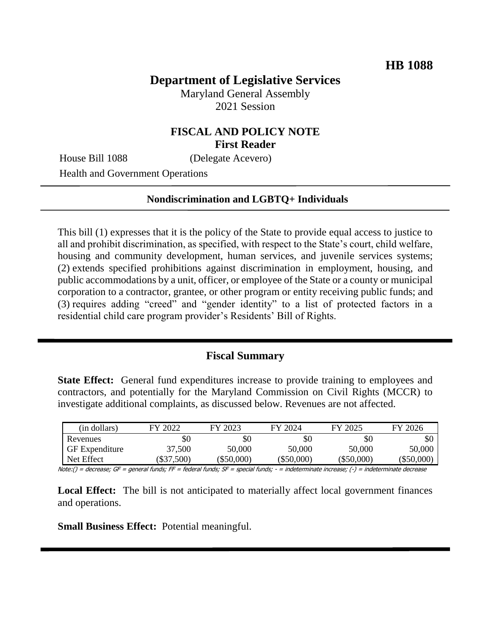## **Department of Legislative Services**

Maryland General Assembly 2021 Session

## **FISCAL AND POLICY NOTE First Reader**

House Bill 1088 (Delegate Acevero)

Health and Government Operations

#### **Nondiscrimination and LGBTQ+ Individuals**

This bill (1) expresses that it is the policy of the State to provide equal access to justice to all and prohibit discrimination, as specified, with respect to the State's court, child welfare, housing and community development, human services, and juvenile services systems; (2) extends specified prohibitions against discrimination in employment, housing, and public accommodations by a unit, officer, or employee of the State or a county or municipal corporation to a contractor, grantee, or other program or entity receiving public funds; and (3) requires adding "creed" and "gender identity" to a list of protected factors in a residential child care program provider's Residents' Bill of Rights.

#### **Fiscal Summary**

**State Effect:** General fund expenditures increase to provide training to employees and contractors, and potentially for the Maryland Commission on Civil Rights (MCCR) to investigate additional complaints, as discussed below. Revenues are not affected.

| (in dollars)          | FY 2022  | FY 2023  | FY 2024  | FY 2025    | FY 2026  |
|-----------------------|----------|----------|----------|------------|----------|
| Revenues              | \$0      | \$0      | \$0      | \$0        | \$0      |
| <b>GF</b> Expenditure | 37,500   | 50,000   | 50,000   | 50,000     | 50,000   |
| Net Effect            | \$37,500 | \$50,000 | \$50,000 | (\$50,000) | \$50,000 |

Note:() = decrease; GF = general funds; FF = federal funds; SF = special funds; - = indeterminate increase; (-) = indeterminate decrease

**Local Effect:** The bill is not anticipated to materially affect local government finances and operations.

**Small Business Effect:** Potential meaningful.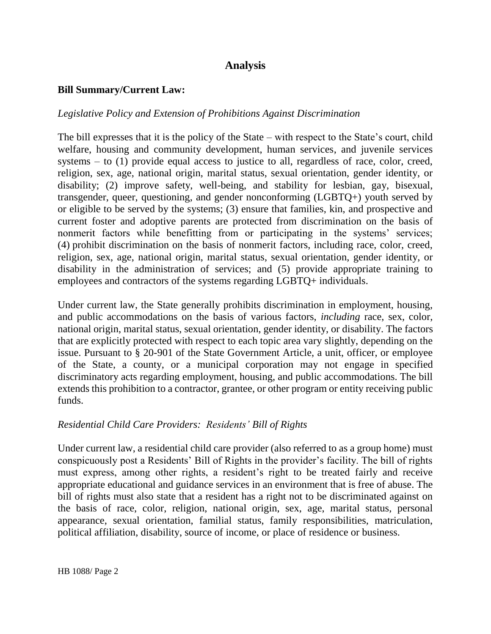# **Analysis**

#### **Bill Summary/Current Law:**

#### *Legislative Policy and Extension of Prohibitions Against Discrimination*

The bill expresses that it is the policy of the State – with respect to the State's court, child welfare, housing and community development, human services, and juvenile services systems – to (1) provide equal access to justice to all, regardless of race, color, creed, religion, sex, age, national origin, marital status, sexual orientation, gender identity, or disability; (2) improve safety, well-being, and stability for lesbian, gay, bisexual, transgender, queer, questioning, and gender nonconforming (LGBTQ+) youth served by or eligible to be served by the systems; (3) ensure that families, kin, and prospective and current foster and adoptive parents are protected from discrimination on the basis of nonmerit factors while benefitting from or participating in the systems' services; (4) prohibit discrimination on the basis of nonmerit factors, including race, color, creed, religion, sex, age, national origin, marital status, sexual orientation, gender identity, or disability in the administration of services; and (5) provide appropriate training to employees and contractors of the systems regarding LGBTQ+ individuals.

Under current law, the State generally prohibits discrimination in employment, housing, and public accommodations on the basis of various factors, *including* race, sex, color, national origin, marital status, sexual orientation, gender identity, or disability. The factors that are explicitly protected with respect to each topic area vary slightly, depending on the issue. Pursuant to § 20-901 of the State Government Article, a unit, officer, or employee of the State, a county, or a municipal corporation may not engage in specified discriminatory acts regarding employment, housing, and public accommodations. The bill extends this prohibition to a contractor, grantee, or other program or entity receiving public funds.

## *Residential Child Care Providers: Residents' Bill of Rights*

Under current law, a residential child care provider (also referred to as a group home) must conspicuously post a Residents' Bill of Rights in the provider's facility. The bill of rights must express, among other rights, a resident's right to be treated fairly and receive appropriate educational and guidance services in an environment that is free of abuse. The bill of rights must also state that a resident has a right not to be discriminated against on the basis of race, color, religion, national origin, sex, age, marital status, personal appearance, sexual orientation, familial status, family responsibilities, matriculation, political affiliation, disability, source of income, or place of residence or business.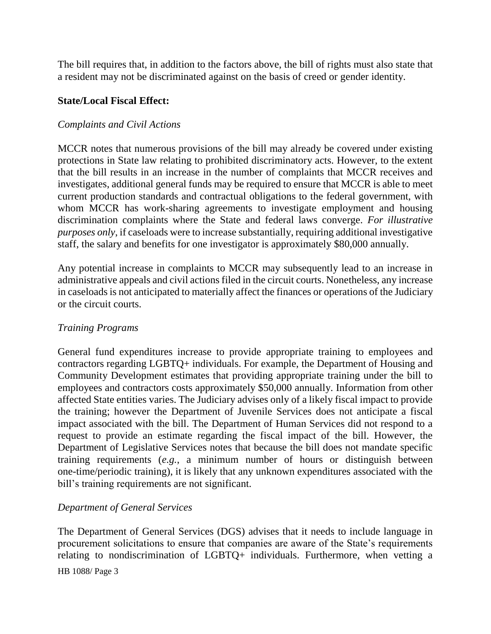The bill requires that, in addition to the factors above, the bill of rights must also state that a resident may not be discriminated against on the basis of creed or gender identity.

#### **State/Local Fiscal Effect:**

#### *Complaints and Civil Actions*

MCCR notes that numerous provisions of the bill may already be covered under existing protections in State law relating to prohibited discriminatory acts. However, to the extent that the bill results in an increase in the number of complaints that MCCR receives and investigates, additional general funds may be required to ensure that MCCR is able to meet current production standards and contractual obligations to the federal government, with whom MCCR has work-sharing agreements to investigate employment and housing discrimination complaints where the State and federal laws converge. *For illustrative purposes only*, if caseloads were to increase substantially, requiring additional investigative staff, the salary and benefits for one investigator is approximately \$80,000 annually.

Any potential increase in complaints to MCCR may subsequently lead to an increase in administrative appeals and civil actions filed in the circuit courts. Nonetheless, any increase in caseloads is not anticipated to materially affect the finances or operations of the Judiciary or the circuit courts.

## *Training Programs*

General fund expenditures increase to provide appropriate training to employees and contractors regarding LGBTQ+ individuals. For example, the Department of Housing and Community Development estimates that providing appropriate training under the bill to employees and contractors costs approximately \$50,000 annually. Information from other affected State entities varies. The Judiciary advises only of a likely fiscal impact to provide the training; however the Department of Juvenile Services does not anticipate a fiscal impact associated with the bill. The Department of Human Services did not respond to a request to provide an estimate regarding the fiscal impact of the bill. However, the Department of Legislative Services notes that because the bill does not mandate specific training requirements (*e.g.*, a minimum number of hours or distinguish between one-time/periodic training), it is likely that any unknown expenditures associated with the bill's training requirements are not significant.

## *Department of General Services*

HB 1088/ Page 3 The Department of General Services (DGS) advises that it needs to include language in procurement solicitations to ensure that companies are aware of the State's requirements relating to nondiscrimination of LGBTQ+ individuals. Furthermore, when vetting a